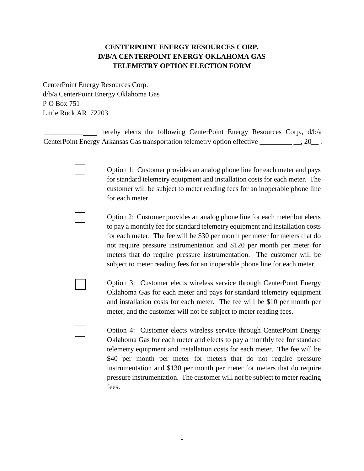## **CENTERPOINT ENERGY RESOURCES CORP. D/B/A CENTERPOINT ENERGY OKLAHOMA GAS TELEMETRY OPTION ELECTION FORM**

CenterPoint Energy Resources Corp. d/b/a CenterPoint Energy Oklahoma Gas P O Box 751 Little Rock AR 72203

hereby elects the following CenterPoint Energy Resources Corp.,  $d/b/a$ CenterPoint Energy Arkansas Gas transportation telemetry option effective \_\_\_\_\_\_\_\_\_\_\_\_, 20\_\_.

> Option 1: Customer provides an analog phone line for each meter and pays for standard telemetry equipment and installation costs for each meter. The customer will be subject to meter reading fees for an inoperable phone line for each meter.

> Option 2: Customer provides an analog phone line for each meter but elects to pay a monthly fee for standard telemetry equipment and installation costs for each meter. The fee will be \$30 per month per meter for meters that do not require pressure instrumentation and \$120 per month per meter for meters that do require pressure instrumentation. The customer will be subject to meter reading fees for an inoperable phone line for each meter.

> Option 3: Customer elects wireless service through CenterPoint Energy Oklahoma Gas for each meter and pays for standard telemetry equipment and installation costs for each meter. The fee will be \$10 per month per meter, and the customer will not be subject to meter reading fees.

Option 4: Customer elects wireless service through CenterPoint Energy Oklahoma Gas for each meter and elects to pay a monthly fee for standard telemetry equipment and installation costs for each meter. The fee will be \$40 per month per meter for meters that do not require pressure instrumentation and \$130 per month per meter for meters that do require pressure instrumentation. The customer will not be subject to meter reading fees.